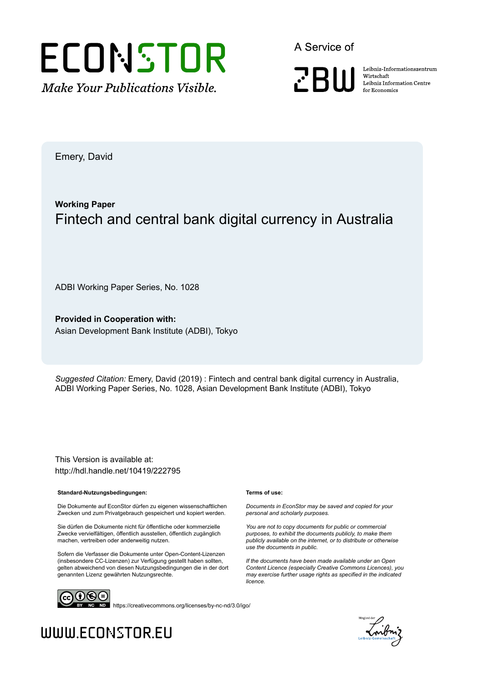

A Service of



Leibniz Informationszentrum Wirtschaft Leibniz Information Centre for Economics

Emery, David

### **Working Paper** Fintech and central bank digital currency in Australia

ADBI Working Paper Series, No. 1028

**Provided in Cooperation with:** Asian Development Bank Institute (ADBI), Tokyo

*Suggested Citation:* Emery, David (2019) : Fintech and central bank digital currency in Australia, ADBI Working Paper Series, No. 1028, Asian Development Bank Institute (ADBI), Tokyo

This Version is available at: http://hdl.handle.net/10419/222795

#### **Standard-Nutzungsbedingungen:**

Die Dokumente auf EconStor dürfen zu eigenen wissenschaftlichen Zwecken und zum Privatgebrauch gespeichert und kopiert werden.

Sie dürfen die Dokumente nicht für öffentliche oder kommerzielle Zwecke vervielfältigen, öffentlich ausstellen, öffentlich zugänglich machen, vertreiben oder anderweitig nutzen.

Sofern die Verfasser die Dokumente unter Open-Content-Lizenzen (insbesondere CC-Lizenzen) zur Verfügung gestellt haben sollten, gelten abweichend von diesen Nutzungsbedingungen die in der dort genannten Lizenz gewährten Nutzungsrechte.

#### **Terms of use:**

*Documents in EconStor may be saved and copied for your personal and scholarly purposes.*

*You are not to copy documents for public or commercial purposes, to exhibit the documents publicly, to make them publicly available on the internet, or to distribute or otherwise use the documents in public.*

*If the documents have been made available under an Open Content Licence (especially Creative Commons Licences), you may exercise further usage rights as specified in the indicated licence.*



https://creativecommons.org/licenses/by-nc-nd/3.0/igo/



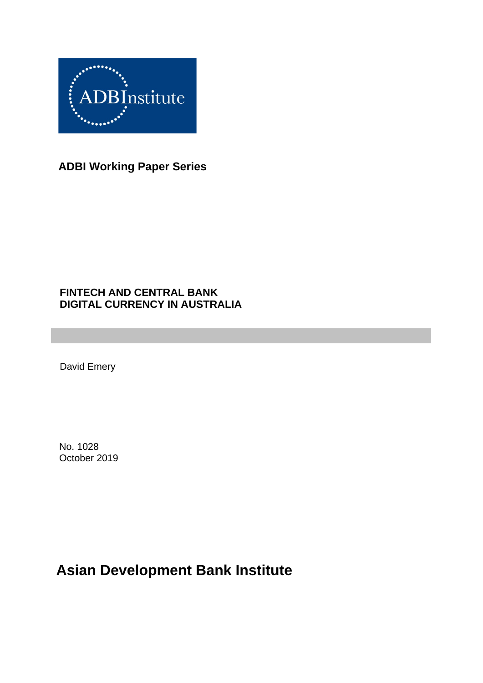

**ADBI Working Paper Series**

#### **FINTECH AND CENTRAL BANK DIGITAL CURRENCY IN AUSTRALIA**

David Emery

No. 1028 October 2019

# **Asian Development Bank Institute**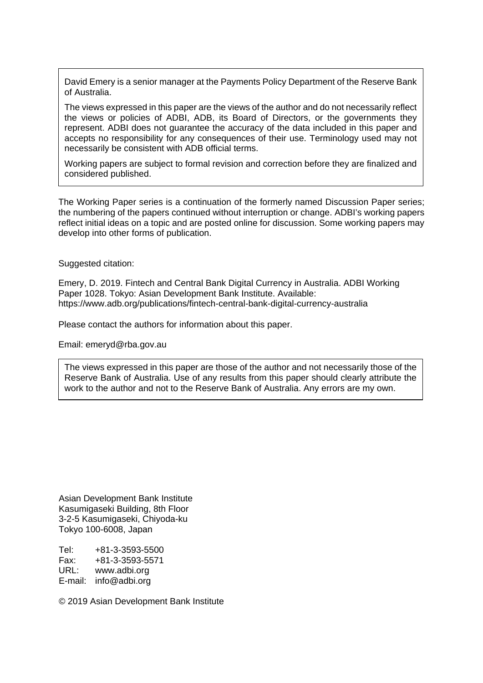David Emery is a senior manager at the Payments Policy Department of the Reserve Bank of Australia.

The views expressed in this paper are the views of the author and do not necessarily reflect the views or policies of ADBI, ADB, its Board of Directors, or the governments they represent. ADBI does not guarantee the accuracy of the data included in this paper and accepts no responsibility for any consequences of their use. Terminology used may not necessarily be consistent with ADB official terms.

Working papers are subject to formal revision and correction before they are finalized and considered published.

The Working Paper series is a continuation of the formerly named Discussion Paper series; the numbering of the papers continued without interruption or change. ADBI's working papers reflect initial ideas on a topic and are posted online for discussion. Some working papers may develop into other forms of publication.

Suggested citation:

Emery, D. 2019. Fintech and Central Bank Digital Currency in Australia. ADBI Working Paper 1028. Tokyo: Asian Development Bank Institute. Available: https://www.adb.org/publications/fintech-central-bank-digital-currency-australia

Please contact the authors for information about this paper.

Email: emeryd@rba.gov.au

The views expressed in this paper are those of the author and not necessarily those of the Reserve Bank of Australia. Use of any results from this paper should clearly attribute the work to the author and not to the Reserve Bank of Australia. Any errors are my own.

Asian Development Bank Institute Kasumigaseki Building, 8th Floor 3-2-5 Kasumigaseki, Chiyoda-ku Tokyo 100-6008, Japan

Tel: +81-3-3593-5500 Fax: +81-3-3593-5571 URL: www.adbi.org E-mail: info@adbi.org

© 2019 Asian Development Bank Institute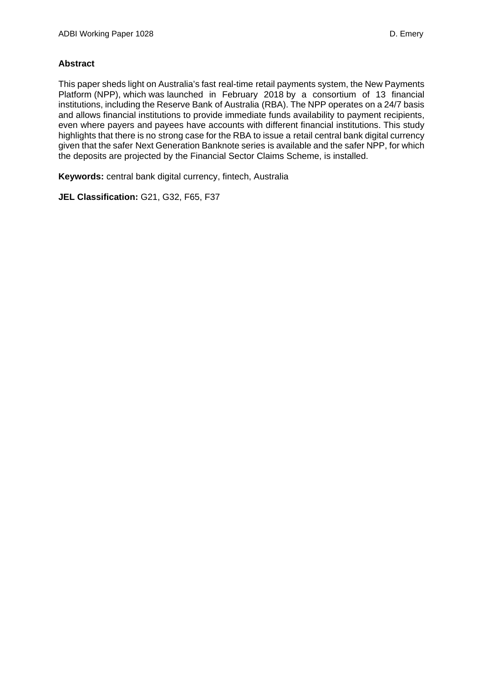#### **Abstract**

This paper sheds light on Australia's fast real-time retail payments system, the New Payments Platform (NPP), which was launched in February 2018 by a consortium of 13 financial institutions, including the Reserve Bank of Australia (RBA). The NPP operates on a 24/7 basis and allows financial institutions to provide immediate funds availability to payment recipients, even where payers and payees have accounts with different financial institutions. This study highlights that there is no strong case for the RBA to issue a retail central bank digital currency given that the safer Next Generation Banknote series is available and the safer NPP, for which the deposits are projected by the Financial Sector Claims Scheme, is installed.

**Keywords:** central bank digital currency, fintech, Australia

**JEL Classification:** G21, G32, F65, F37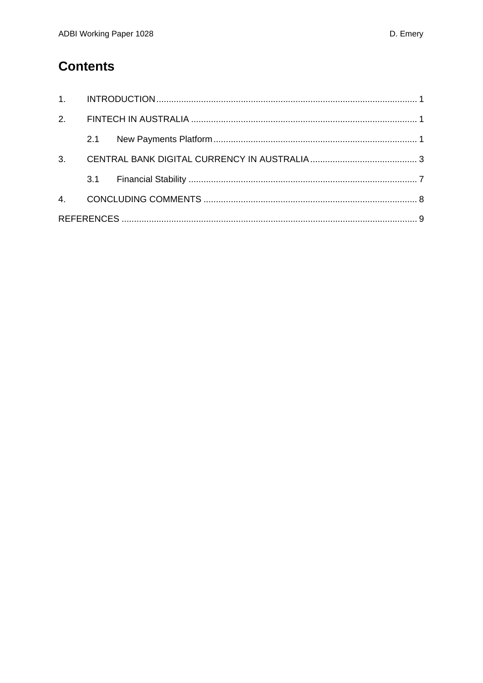## **Contents**

| 2.1 |  |  |  |
|-----|--|--|--|
|     |  |  |  |
|     |  |  |  |
|     |  |  |  |
|     |  |  |  |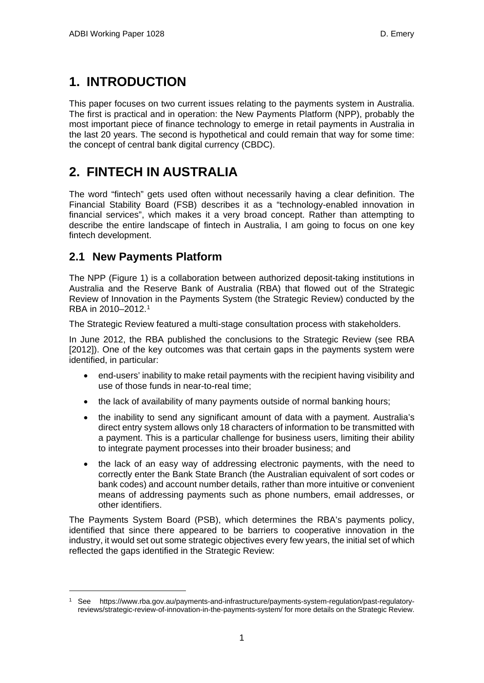## <span id="page-5-0"></span>**1. INTRODUCTION**

This paper focuses on two current issues relating to the payments system in Australia. The first is practical and in operation: the New Payments Platform (NPP), probably the most important piece of finance technology to emerge in retail payments in Australia in the last 20 years. The second is hypothetical and could remain that way for some time: the concept of central bank digital currency (CBDC).

## <span id="page-5-1"></span>**2. FINTECH IN AUSTRALIA**

The word "fintech" gets used often without necessarily having a clear definition. The Financial Stability Board (FSB) describes it as a "technology-enabled innovation in financial services", which makes it a very broad concept. Rather than attempting to describe the entire landscape of fintech in Australia, I am going to focus on one key fintech development.

#### <span id="page-5-2"></span>**2.1 New Payments Platform**

The NPP (Figure 1) is a collaboration between authorized deposit-taking institutions in Australia and the Reserve Bank of Australia (RBA) that flowed out of the Strategic Review of Innovation in the Payments System (the Strategic Review) conducted by the RBA in 2010–2012.[1](#page-5-3)

The Strategic Review featured a multi-stage consultation process with stakeholders.

In June 2012, the RBA published the conclusions to the Strategic Review (see RBA [2012]). One of the key outcomes was that certain gaps in the payments system were identified, in particular:

- end-users' inability to make retail payments with the recipient having visibility and use of those funds in near-to-real time;
- the lack of availability of many payments outside of normal banking hours;
- the inability to send any significant amount of data with a payment. Australia's direct entry system allows only 18 characters of information to be transmitted with a payment. This is a particular challenge for business users, limiting their ability to integrate payment processes into their broader business; and
- the lack of an easy way of addressing electronic payments, with the need to correctly enter the Bank State Branch (the Australian equivalent of sort codes or bank codes) and account number details, rather than more intuitive or convenient means of addressing payments such as phone numbers, email addresses, or other identifiers.

The Payments System Board (PSB), which determines the RBA's payments policy, identified that since there appeared to be barriers to cooperative innovation in the industry, it would set out some strategic objectives every few years, the initial set of which reflected the gaps identified in the Strategic Review:

<span id="page-5-3"></span><sup>1</sup> See https://www.rba.gov.au/payments-and-infrastructure/payments-system-regulation/past-regulatoryreviews/strategic-review-of-innovation-in-the-payments-system/ for more details on the Strategic Review.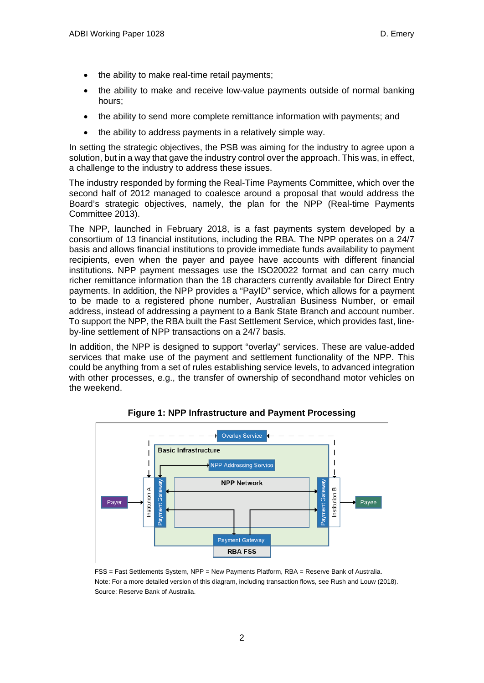- the ability to make real-time retail payments;
- the ability to make and receive low-value payments outside of normal banking hours;
- the ability to send more complete remittance information with payments; and
- the ability to address payments in a relatively simple way.

In setting the strategic objectives, the PSB was aiming for the industry to agree upon a solution, but in a way that gave the industry control over the approach. This was, in effect, a challenge to the industry to address these issues.

The industry responded by forming the Real-Time Payments Committee, which over the second half of 2012 managed to coalesce around a proposal that would address the Board's strategic objectives, namely, the plan for the NPP (Real-time Payments Committee 2013).

The NPP, launched in February 2018, is a fast payments system developed by a consortium of 13 financial institutions, including the RBA. The NPP operates on a 24/7 basis and allows financial institutions to provide immediate funds availability to payment recipients, even when the payer and payee have accounts with different financial institutions. NPP payment messages use the ISO20022 format and can carry much richer remittance information than the 18 characters currently available for Direct Entry payments. In addition, the NPP provides a "PayID" service, which allows for a payment to be made to a registered phone number, Australian Business Number, or email address, instead of addressing a payment to a Bank State Branch and account number. To support the NPP, the RBA built the Fast Settlement Service, which provides fast, lineby-line settlement of NPP transactions on a 24/7 basis.

In addition, the NPP is designed to support "overlay" services. These are value-added services that make use of the payment and settlement functionality of the NPP. This could be anything from a set of rules establishing service levels, to advanced integration with other processes, e.g., the transfer of ownership of secondhand motor vehicles on the weekend.



**Figure 1: NPP Infrastructure and Payment Processing**

FSS = Fast Settlements System, NPP = New Payments Platform, RBA = Reserve Bank of Australia. Note: For a more detailed version of this diagram, including transaction flows, see Rush and Louw (2018). Source: Reserve Bank of Australia.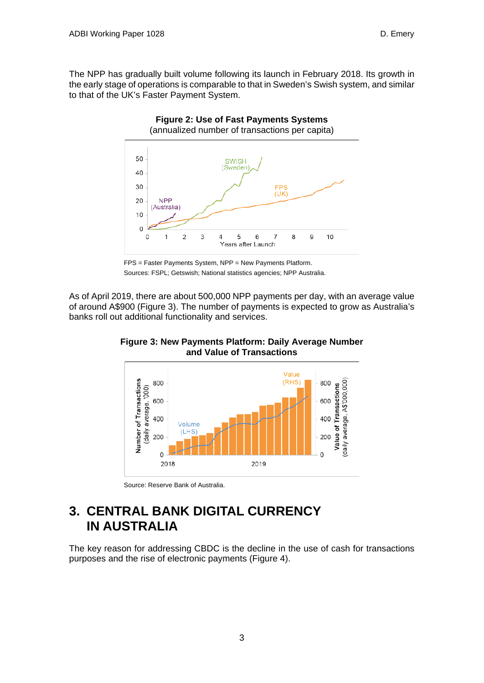The NPP has gradually built volume following its launch in February 2018. Its growth in the early stage of operations is comparable to that in Sweden's Swish system, and similar to that of the UK's Faster Payment System.



FPS = Faster Payments System, NPP = New Payments Platform. Sources: FSPL; Getswish; National statistics agencies; NPP Australia.

As of April 2019, there are about 500,000 NPP payments per day, with an average value of around A\$900 (Figure 3). The number of payments is expected to grow as Australia's banks roll out additional functionality and services.



**Figure 3: New Payments Platform: Daily Average Number and Value of Transactions**

Source: Reserve Bank of Australia.

## <span id="page-7-0"></span>**3. CENTRAL BANK DIGITAL CURRENCY IN AUSTRALIA**

The key reason for addressing CBDC is the decline in the use of cash for transactions purposes and the rise of electronic payments (Figure 4).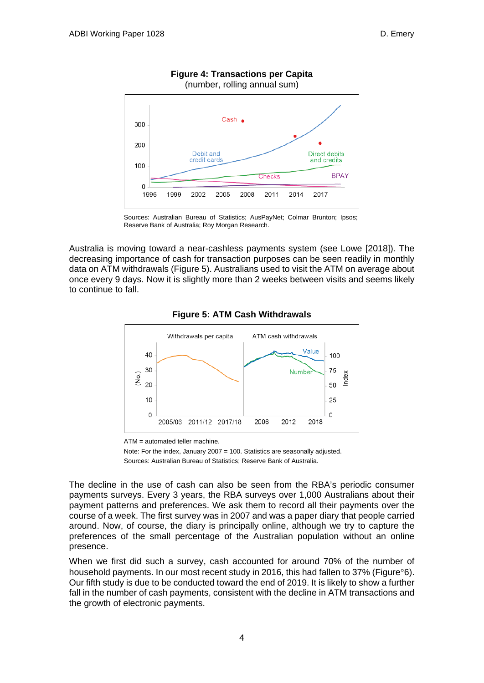

#### **Figure 4: Transactions per Capita**

Sources: Australian Bureau of Statistics; AusPayNet; Colmar Brunton; Ipsos; Reserve Bank of Australia; Roy Morgan Research.

Australia is moving toward a near-cashless payments system (see Lowe [2018]). The decreasing importance of cash for transaction purposes can be seen readily in monthly data on ATM withdrawals (Figure 5). Australians used to visit the ATM on average about once every 9 days. Now it is slightly more than 2 weeks between visits and seems likely to continue to fall.



#### **Figure 5: ATM Cash Withdrawals**

ATM = automated teller machine.

Note: For the index, January 2007 = 100. Statistics are seasonally adjusted. Sources: Australian Bureau of Statistics; Reserve Bank of Australia.

The decline in the use of cash can also be seen from the RBA's periodic consumer payments surveys. Every 3 years, the RBA surveys over 1,000 Australians about their payment patterns and preferences. We ask them to record all their payments over the course of a week. The first survey was in 2007 and was a paper diary that people carried around. Now, of course, the diary is principally online, although we try to capture the preferences of the small percentage of the Australian population without an online presence.

When we first did such a survey, cash accounted for around 70% of the number of household payments. In our most recent study in 2016, this had fallen to 37% (Figure°6). Our fifth study is due to be conducted toward the end of 2019. It is likely to show a further fall in the number of cash payments, consistent with the decline in ATM transactions and the growth of electronic payments.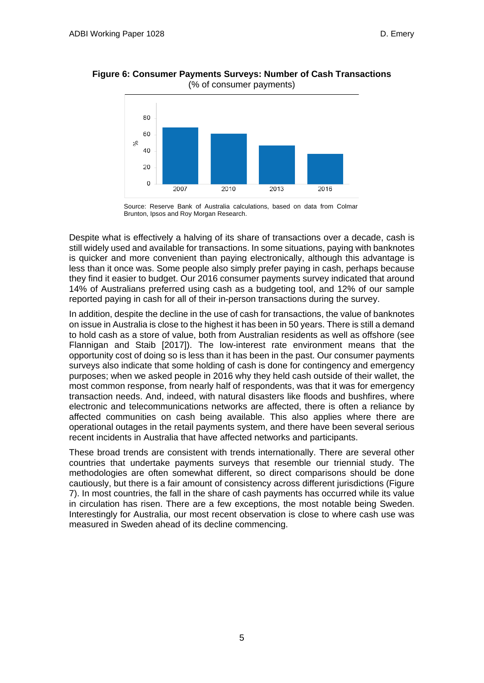



Source: Reserve Bank of Australia calculations, based on data from Colmar Brunton, Ipsos and Roy Morgan Research.

Despite what is effectively a halving of its share of transactions over a decade, cash is still widely used and available for transactions. In some situations, paying with banknotes is quicker and more convenient than paying electronically, although this advantage is less than it once was. Some people also simply prefer paying in cash, perhaps because they find it easier to budget. Our 2016 consumer payments survey indicated that around 14% of Australians preferred using cash as a budgeting tool, and 12% of our sample reported paying in cash for all of their in-person transactions during the survey.

In addition, despite the decline in the use of cash for transactions, the value of banknotes on issue in Australia is close to the highest it has been in 50 years. There is still a demand to hold cash as a store of value, both from Australian residents as well as offshore (see Flannigan and Staib [2017]). The low-interest rate environment means that the opportunity cost of doing so is less than it has been in the past. Our consumer payments surveys also indicate that some holding of cash is done for contingency and emergency purposes; when we asked people in 2016 why they held cash outside of their wallet, the most common response, from nearly half of respondents, was that it was for emergency transaction needs. And, indeed, with natural disasters like floods and bushfires, where electronic and telecommunications networks are affected, there is often a reliance by affected communities on cash being available. This also applies where there are operational outages in the retail payments system, and there have been several serious recent incidents in Australia that have affected networks and participants.

These broad trends are consistent with trends internationally. There are several other countries that undertake payments surveys that resemble our triennial study. The methodologies are often somewhat different, so direct comparisons should be done cautiously, but there is a fair amount of consistency across different jurisdictions (Figure 7). In most countries, the fall in the share of cash payments has occurred while its value in circulation has risen. There are a few exceptions, the most notable being Sweden. Interestingly for Australia, our most recent observation is close to where cash use was measured in Sweden ahead of its decline commencing.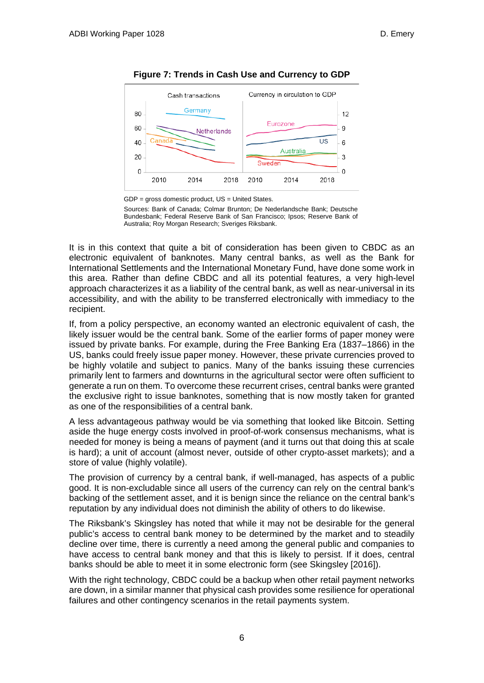

**Figure 7: Trends in Cash Use and Currency to GDP**

Sources: Bank of Canada; Colmar Brunton; De Nederlandsche Bank; Deutsche Bundesbank; Federal Reserve Bank of San Francisco; Ipsos; Reserve Bank of Australia; Roy Morgan Research; Sveriges Riksbank.

It is in this context that quite a bit of consideration has been given to CBDC as an electronic equivalent of banknotes. Many central banks, as well as the Bank for International Settlements and the International Monetary Fund, have done some work in this area. Rather than define CBDC and all its potential features, a very high-level approach characterizes it as a liability of the central bank, as well as near-universal in its accessibility, and with the ability to be transferred electronically with immediacy to the recipient.

If, from a policy perspective, an economy wanted an electronic equivalent of cash, the likely issuer would be the central bank. Some of the earlier forms of paper money were issued by private banks. For example, during the Free Banking Era (1837–1866) in the US, banks could freely issue paper money. However, these private currencies proved to be highly volatile and subject to panics. Many of the banks issuing these currencies primarily lent to farmers and downturns in the agricultural sector were often sufficient to generate a run on them. To overcome these recurrent crises, central banks were granted the exclusive right to issue banknotes, something that is now mostly taken for granted as one of the responsibilities of a central bank.

A less advantageous pathway would be via something that looked like Bitcoin. Setting aside the huge energy costs involved in proof-of-work consensus mechanisms, what is needed for money is being a means of payment (and it turns out that doing this at scale is hard); a unit of account (almost never, outside of other crypto-asset markets); and a store of value (highly volatile).

The provision of currency by a central bank, if well-managed, has aspects of a public good. It is non-excludable since all users of the currency can rely on the central bank's backing of the settlement asset, and it is benign since the reliance on the central bank's reputation by any individual does not diminish the ability of others to do likewise.

The Riksbank's Skingsley has noted that while it may not be desirable for the general public's access to central bank money to be determined by the market and to steadily decline over time, there is currently a need among the general public and companies to have access to central bank money and that this is likely to persist. If it does, central banks should be able to meet it in some electronic form (see Skingsley [2016]).

With the right technology, CBDC could be a backup when other retail payment networks are down, in a similar manner that physical cash provides some resilience for operational failures and other contingency scenarios in the retail payments system.

GDP = gross domestic product, US = United States.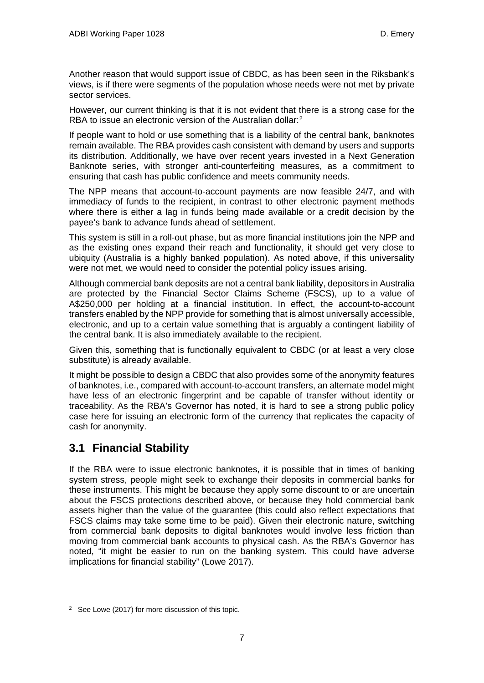Another reason that would support issue of CBDC, as has been seen in the Riksbank's views, is if there were segments of the population whose needs were not met by private sector services.

However, our current thinking is that it is not evident that there is a strong case for the RBA to issue an electronic version of the Australian dollar:<sup>[2](#page-11-1)</sup>

If people want to hold or use something that is a liability of the central bank, banknotes remain available. The RBA provides cash consistent with demand by users and supports its distribution. Additionally, we have over recent years invested in a Next Generation Banknote series, with stronger anti-counterfeiting measures, as a commitment to ensuring that cash has public confidence and meets community needs.

The NPP means that account-to-account payments are now feasible 24/7, and with immediacy of funds to the recipient, in contrast to other electronic payment methods where there is either a lag in funds being made available or a credit decision by the payee's bank to advance funds ahead of settlement.

This system is still in a roll-out phase, but as more financial institutions join the NPP and as the existing ones expand their reach and functionality, it should get very close to ubiquity (Australia is a highly banked population). As noted above, if this universality were not met, we would need to consider the potential policy issues arising.

Although commercial bank deposits are not a central bank liability, depositors in Australia are protected by the Financial Sector Claims Scheme (FSCS), up to a value of A\$250,000 per holding at a financial institution. In effect, the account-to-account transfers enabled by the NPP provide for something that is almost universally accessible, electronic, and up to a certain value something that is arguably a contingent liability of the central bank. It is also immediately available to the recipient.

Given this, something that is functionally equivalent to CBDC (or at least a very close substitute) is already available.

It might be possible to design a CBDC that also provides some of the anonymity features of banknotes, i.e., compared with account-to-account transfers, an alternate model might have less of an electronic fingerprint and be capable of transfer without identity or traceability. As the RBA's Governor has noted, it is hard to see a strong public policy case here for issuing an electronic form of the currency that replicates the capacity of cash for anonymity.

### <span id="page-11-0"></span>**3.1 Financial Stability**

If the RBA were to issue electronic banknotes, it is possible that in times of banking system stress, people might seek to exchange their deposits in commercial banks for these instruments. This might be because they apply some discount to or are uncertain about the FSCS protections described above, or because they hold commercial bank assets higher than the value of the guarantee (this could also reflect expectations that FSCS claims may take some time to be paid). Given their electronic nature, switching from commercial bank deposits to digital banknotes would involve less friction than moving from commercial bank accounts to physical cash. As the RBA's Governor has noted, "it might be easier to run on the banking system. This could have adverse implications for financial stability" (Lowe 2017).

<span id="page-11-1"></span><sup>2</sup> See Lowe (2017) for more discussion of this topic.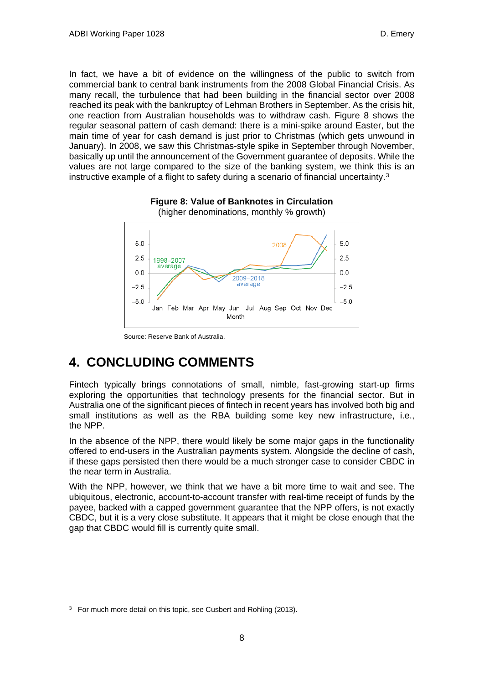In fact, we have a bit of evidence on the willingness of the public to switch from commercial bank to central bank instruments from the 2008 Global Financial Crisis. As many recall, the turbulence that had been building in the financial sector over 2008 reached its peak with the bankruptcy of Lehman Brothers in September. As the crisis hit, one reaction from Australian households was to withdraw cash. Figure 8 shows the regular seasonal pattern of cash demand: there is a mini-spike around Easter, but the main time of year for cash demand is just prior to Christmas (which gets unwound in January). In 2008, we saw this Christmas-style spike in September through November, basically up until the announcement of the Government guarantee of deposits. While the values are not large compared to the size of the banking system, we think this is an instructive example of a flight to safety during a scenario of financial uncertainty. $3$ 



**Figure 8: Value of Banknotes in Circulation**  (higher denominations, monthly % growth)

Source: Reserve Bank of Australia.

# <span id="page-12-0"></span>**4. CONCLUDING COMMENTS**

Fintech typically brings connotations of small, nimble, fast-growing start-up firms exploring the opportunities that technology presents for the financial sector. But in Australia one of the significant pieces of fintech in recent years has involved both big and small institutions as well as the RBA building some key new infrastructure, i.e., the NPP.

In the absence of the NPP, there would likely be some major gaps in the functionality offered to end-users in the Australian payments system. Alongside the decline of cash, if these gaps persisted then there would be a much stronger case to consider CBDC in the near term in Australia.

With the NPP, however, we think that we have a bit more time to wait and see. The ubiquitous, electronic, account-to-account transfer with real-time receipt of funds by the payee, backed with a capped government guarantee that the NPP offers, is not exactly CBDC, but it is a very close substitute. It appears that it might be close enough that the gap that CBDC would fill is currently quite small.

<span id="page-12-1"></span> $3$  For much more detail on this topic, see Cusbert and Rohling (2013).